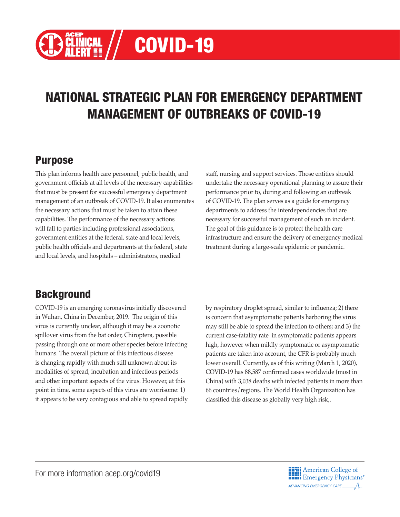# COVID-19

# NATIONAL STRATEGIC PLAN FOR EMERGENCY DEPARTMENT MANAGEMENT OF OUTBREAKS OF COVID-19

# Purpose

This plan informs health care personnel, public health, and government officials at all levels of the necessary capabilities that must be present for successful emergency department management of an outbreak of COVID-19. It also enumerates the necessary actions that must be taken to attain these capabilities. The performance of the necessary actions will fall to parties including professional associations, government entities at the federal, state and local levels, public health officials and departments at the federal, state and local levels, and hospitals – administrators, medical

staff, nursing and support services. Those entities should undertake the necessary operational planning to assure their performance prior to, during and following an outbreak of COVID-19. The plan serves as a guide for emergency departments to address the interdependencies that are necessary for successful management of such an incident. The goal of this guidance is to protect the health care infrastructure and ensure the delivery of emergency medical treatment during a large-scale epidemic or pandemic.

# **Background**

COVID-19 is an emerging coronavirus initially discovered in Wuhan, China in December, 2019. The origin of this virus is currently unclear, although it may be a zoonotic spillover virus from the bat order, Chiroptera, possible passing through one or more other species before infecting humans. The overall picture of this infectious disease is changing rapidly with much still unknown about its modalities of spread, incubation and infectious periods and other important aspects of the virus. However, at this point in time, some aspects of this virus are worrisome: 1) it appears to be very contagious and able to spread rapidly by respiratory droplet spread, similar to influenza; 2) there is concern that asymptomatic patients harboring the virus may still be able to spread the infection to others; and 3) the current case-fatality rate in symptomatic patients appears high, however when mildly symptomatic or asymptomatic patients are taken into account, the CFR is probably much lower overall. Currently, as of this writing (March 1, 2020), COVID-19 has 88,587 confirmed cases worldwide (most in China) with 3,038 deaths with infected patients in more than 66 countries/regions. The World Health Organization has classified this disease as globally very high risk,.

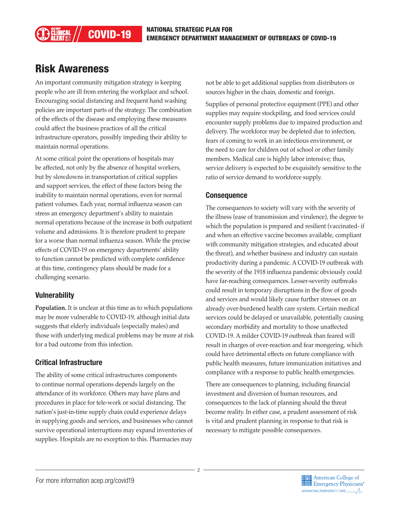# Risk Awareness

An important community mitigation strategy is keeping people who are ill from entering the workplace and school. Encouraging social distancing and frequent hand washing policies are important parts of the strategy. The combination of the effects of the disease and employing these measures could affect the business practices of all the critical infrastructure operators, possibly impeding their ability to maintain normal operations.

At some critical point the operations of hospitals may be affected, not only by the absence of hospital workers, but by slowdowns in transportation of critical supplies and support services, the effect of these factors being the inability to maintain normal operations, even for normal patient volumes. Each year, normal influenza season can stress an emergency department's ability to maintain normal operations because of the increase in both outpatient volume and admissions. It is therefore prudent to prepare for a worse than normal influenza season. While the precise effects of COVID-19 on emergency departments' ability to function cannot be predicted with complete confidence at this time, contingency plans should be made for a challenging scenario.

#### **Vulnerability**

**Population.** It is unclear at this time as to which populations may be more vulnerable to COVID-19, although initial data suggests that elderly individuals (especially males) and those with underlying medical problems may be more at risk for a bad outcome from this infection.

#### Critical Infrastructure

The ability of some critical infrastructures components to continue normal operations depends largely on the attendance of its workforce. Others may have plans and procedures in place for tele-work or social distancing. The nation's just-in-time supply chain could experience delays in supplying goods and services, and businesses who cannot survive operational interruptions may expand inventories of supplies. Hospitals are no exception to this. Pharmacies may

not be able to get additional supplies from distributors or sources higher in the chain, domestic and foreign.

Supplies of personal protective equipment (PPE) and other supplies may require stockpiling, and food services could encounter supply problems due to impaired production and delivery. The workforce may be depleted due to infection, fears of coming to work in an infectious environment, or the need to care for children out of school or other family members. Medical care is highly labor intensive; thus, service delivery is expected to be exquisitely sensitive to the ratio of service demand to workforce supply.

#### **Consequence**

The consequences to society will vary with the severity of the illness (ease of transmission and virulence), the degree to which the population is prepared and resilient (vaccinated- if and when an effective vaccine becomes available, compliant with community mitigation strategies, and educated about the threat), and whether business and industry can sustain productivity during a pandemic. A COVID-19 outbreak with the severity of the 1918 influenza pandemic obviously could have far-reaching consequences. Lesser-severity outbreaks could result in temporary disruptions in the flow of goods and services and would likely cause further stresses on an already over-burdened health care system. Certain medical services could be delayed or unavailable, potentially causing secondary morbidity and mortality to those unaffected COVID-19. A milder COVID-19 outbreak than feared will result in charges of over-reaction and fear mongering, which could have detrimental effects on future compliance with public health measures, future immunization initiatives and compliance with a response to public health emergencies.

There are consequences to planning, including financial investment and diversion of human resources, and consequences to the lack of planning should the threat become reality. In either case, a prudent assessment of risk is vital and prudent planning in response to that risk is necessary to mitigate possible consequences.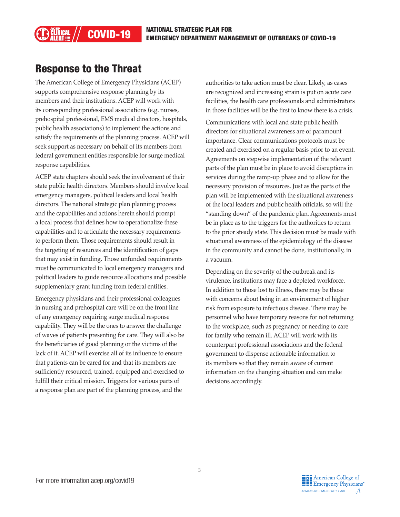# Response to the Threat

The American College of Emergency Physicians (ACEP) supports comprehensive response planning by its members and their institutions. ACEP will work with its corresponding professional associations (e.g. nurses, prehospital professional, EMS medical directors, hospitals, public health associations) to implement the actions and satisfy the requirements of the planning process. ACEP will seek support as necessary on behalf of its members from federal government entities responsible for surge medical response capabilities.

ACEP state chapters should seek the involvement of their state public health directors. Members should involve local emergency managers, political leaders and local health directors. The national strategic plan planning process and the capabilities and actions herein should prompt a local process that defines how to operationalize these capabilities and to articulate the necessary requirements to perform them. Those requirements should result in the targeting of resources and the identification of gaps that may exist in funding. Those unfunded requirements must be communicated to local emergency managers and political leaders to guide resource allocations and possible supplementary grant funding from federal entities.

Emergency physicians and their professional colleagues in nursing and prehospital care will be on the front line of any emergency requiring surge medical response capability. They will be the ones to answer the challenge of waves of patients presenting for care. They will also be the beneficiaries of good planning or the victims of the lack of it. ACEP will exercise all of its influence to ensure that patients can be cared for and that its members are sufficiently resourced, trained, equipped and exercised to fulfill their critical mission. Triggers for various parts of a response plan are part of the planning process, and the

authorities to take action must be clear. Likely, as cases are recognized and increasing strain is put on acute care facilities, the health care professionals and administrators in those facilities will be the first to know there is a crisis.

Communications with local and state public health directors for situational awareness are of paramount importance. Clear communications protocols must be created and exercised on a regular basis prior to an event. Agreements on stepwise implementation of the relevant parts of the plan must be in place to avoid disruptions in services during the ramp-up phase and to allow for the necessary provision of resources. Just as the parts of the plan will be implemented with the situational awareness of the local leaders and public health officials, so will the "standing down" of the pandemic plan. Agreements must be in place as to the triggers for the authorities to return to the prior steady state. This decision must be made with situational awareness of the epidemiology of the disease in the community and cannot be done, institutionally, in a vacuum.

Depending on the severity of the outbreak and its virulence, institutions may face a depleted workforce. In addition to those lost to illness, there may be those with concerns about being in an environment of higher risk from exposure to infectious disease. There may be personnel who have temporary reasons for not returning to the workplace, such as pregnancy or needing to care for family who remain ill. ACEP will work with its counterpart professional associations and the federal government to dispense actionable information to its members so that they remain aware of current information on the changing situation and can make decisions accordingly.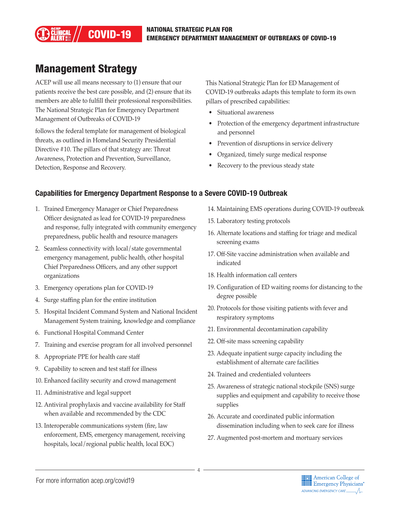# COVID-19 NATIONAL STRATEGIC PLAN FOR **COVID-19** NATIONAL STRATEGIC PLAN FOR

# Management Strategy

ACEP will use all means necessary to (1) ensure that our patients receive the best care possible, and (2) ensure that its members are able to fulfill their professional responsibilities. The National Strategic Plan for Emergency Department Management of Outbreaks of COVID-19

follows the federal template for management of biological threats, as outlined in Homeland Security Presidential Directive #10. The pillars of that strategy are: Threat Awareness, Protection and Prevention, Surveillance, Detection, Response and Recovery.

This National Strategic Plan for ED Management of COVID-19 outbreaks adapts this template to form its own pillars of prescribed capabilities:

- Situational awareness
- Protection of the emergency department infrastructure and personnel
- Prevention of disruptions in service delivery
- Organized, timely surge medical response
- Recovery to the previous steady state

#### Capabilities for Emergency Department Response to a Severe COVID-19 Outbreak

- 1. Trained Emergency Manager or Chief Preparedness Officer designated as lead for COVID-19 preparedness and response, fully integrated with community emergency preparedness, public health and resource managers
- 2. Seamless connectivity with local/state governmental emergency management, public health, other hospital Chief Preparedness Officers, and any other support organizations
- 3. Emergency operations plan for COVID-19
- 4. Surge staffing plan for the entire institution
- 5. Hospital Incident Command System and National Incident Management System training, knowledge and compliance
- 6. Functional Hospital Command Center
- 7. Training and exercise program for all involved personnel
- 8. Appropriate PPE for health care staff
- 9. Capability to screen and test staff for illness
- 10. Enhanced facility security and crowd management
- 11. Administrative and legal support
- 12. Antiviral prophylaxis and vaccine availability for Staff when available and recommended by the CDC
- 13. Interoperable communications system (fire, law enforcement, EMS, emergency management, receiving hospitals, local/regional public health, local EOC)
- 14. Maintaining EMS operations during COVID-19 outbreak
- 15. Laboratory testing protocols
- 16. Alternate locations and staffing for triage and medical screening exams
- 17. Off-Site vaccine administration when available and indicated
- 18. Health information call centers
- 19. Configuration of ED waiting rooms for distancing to the degree possible
- 20. Protocols for those visiting patients with fever and respiratory symptoms
- 21. Environmental decontamination capability
- 22. Off-site mass screening capability
- 23. Adequate inpatient surge capacity including the establishment of alternate care facilities
- 24. Trained and credentialed volunteers
- 25. Awareness of strategic national stockpile (SNS) surge supplies and equipment and capability to receive those supplies
- 26. Accurate and coordinated public information dissemination including when to seek care for illness
- 27. Augmented post-mortem and mortuary services

4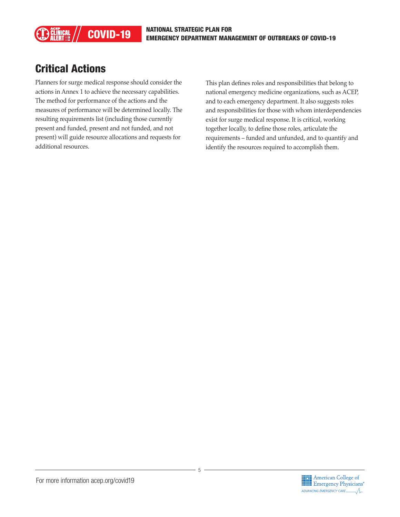# Critical Actions

Planners for surge medical response should consider the actions in Annex 1 to achieve the necessary capabilities. The method for performance of the actions and the measures of performance will be determined locally. The resulting requirements list (including those currently present and funded, present and not funded, and not present) will guide resource allocations and requests for additional resources.

This plan defines roles and responsibilities that belong to national emergency medicine organizations, such as ACEP, and to each emergency department. It also suggests roles and responsibilities for those with whom interdependencies exist for surge medical response. It is critical, working together locally, to define those roles, articulate the requirements – funded and unfunded, and to quantify and identify the resources required to accomplish them.

5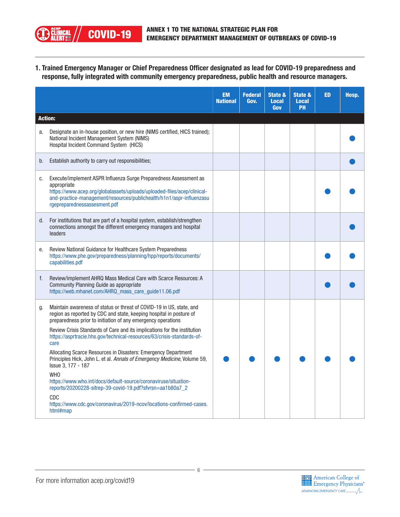

1. Trained Emergency Manager or Chief Preparedness Officer designated as lead for COVID-19 preparedness and response, fully integrated with community emergency preparedness, public health and resource managers.

|                |                                                                                                                                                                                                                                                                     | <b>EM</b><br><b>National</b> | <b>Federal</b><br>Gov. | <b>State &amp;</b><br><b>Local</b><br>Gov | State &<br><b>Local</b><br>PH | <b>ED</b> | Hosp. |
|----------------|---------------------------------------------------------------------------------------------------------------------------------------------------------------------------------------------------------------------------------------------------------------------|------------------------------|------------------------|-------------------------------------------|-------------------------------|-----------|-------|
| <b>Action:</b> |                                                                                                                                                                                                                                                                     |                              |                        |                                           |                               |           |       |
| a.             | Designate an in-house position, or new hire (NIMS certified, HICS trained);<br>National Incident Management System (NIMS)<br>Hospital Incident Command System (HICS)                                                                                                |                              |                        |                                           |                               |           |       |
| b.             | Establish authority to carry out responsibilities;                                                                                                                                                                                                                  |                              |                        |                                           |                               |           |       |
| C.             | Execute/implement ASPR Influenza Surge Preparedness Assessment as<br>appropriate<br>https://www.acep.org/globalassets/uploads/uploaded-files/acep/clinical-<br>and-practice-management/resources/publichealth/h1n1/aspr-influenzasu<br>rgepreparednessassesment.pdf |                              |                        |                                           |                               |           |       |
| d.             | For institutions that are part of a hospital system, establish/strengthen<br>connections amongst the different emergency managers and hospital<br>leaders                                                                                                           |                              |                        |                                           |                               |           |       |
| е.             | Review National Guidance for Healthcare System Preparedness<br>https://www.phe.gov/preparedness/planning/hpp/reports/documents/<br>capabilities.pdf                                                                                                                 |                              |                        |                                           |                               |           |       |
| f.             | Review/implement AHRQ Mass Medical Care with Scarce Resources: A<br>Community Planning Guide as appropriate<br>https://web.mhanet.com/AHRQ_mass_care_guide11.06.pdf                                                                                                 |                              |                        |                                           |                               |           |       |
| g.             | Maintain awareness of status or threat of COVID-19 in US, state, and<br>region as reported by CDC and state, keeping hospital in posture of<br>preparedness prior to initiation of any emergency operations                                                         |                              |                        |                                           |                               |           |       |
|                | Review Crisis Standards of Care and its implications for the institution<br>https://asprtracie.hhs.gov/technical-resources/63/crisis-standards-of-<br>care                                                                                                          |                              |                        |                                           |                               |           |       |
|                | Allocating Scarce Resources in Disasters: Emergency Department<br>Principles Hick, John L. et al. Annals of Emergency Medicine, Volume 59,<br>Issue 3, 177 - 187                                                                                                    |                              |                        |                                           |                               |           |       |
|                | <b>WHO</b><br>https://www.who.int/docs/default-source/coronaviruse/situation-<br>reports/20200228-sitrep-39-covid-19.pdf?sfvrsn=aa1b80a7_2                                                                                                                          |                              |                        |                                           |                               |           |       |
|                | CDC<br>https://www.cdc.gov/coronavirus/2019-ncov/locations-confirmed-cases.<br>html#map                                                                                                                                                                             |                              |                        |                                           |                               |           |       |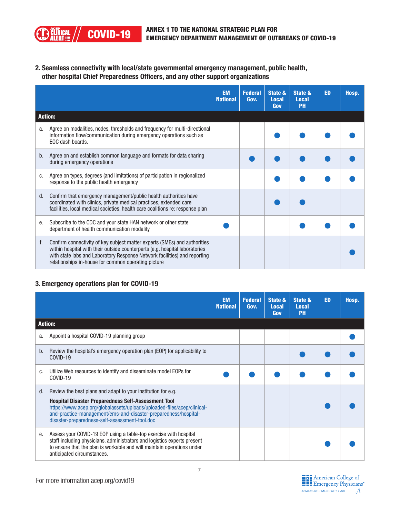2. Seamless connectivity with local/state governmental emergency management, public health, other hospital Chief Preparedness Officers, and any other support organizations

|    |                                                                                                                                                                                                                                                                                              | <b>EM</b><br><b>National</b> | <b>Federal</b><br>Gov. | State &<br><b>Local</b><br>Gov | State &<br><b>Local</b><br><b>PH</b> | <b>ED</b> | Hosp. |
|----|----------------------------------------------------------------------------------------------------------------------------------------------------------------------------------------------------------------------------------------------------------------------------------------------|------------------------------|------------------------|--------------------------------|--------------------------------------|-----------|-------|
|    | <b>Action:</b>                                                                                                                                                                                                                                                                               |                              |                        |                                |                                      |           |       |
| a. | Agree on modalities, nodes, thresholds and frequency for multi-directional<br>information flow/communication during emergency operations such as<br>EOC dash boards.                                                                                                                         |                              |                        |                                |                                      |           |       |
| b. | Agree on and establish common language and formats for data sharing<br>during emergency operations                                                                                                                                                                                           |                              |                        |                                |                                      |           |       |
| C. | Agree on types, degrees (and limitations) of participation in regionalized<br>response to the public health emergency                                                                                                                                                                        |                              |                        |                                |                                      |           |       |
| d. | Confirm that emergency management/public health authorities have<br>coordinated with clinics, private medical practices, extended care<br>facilities, local medical societies, health care coalitions re: response plan                                                                      |                              |                        |                                |                                      |           |       |
| е. | Subscribe to the CDC and your state HAN network or other state<br>department of health communication modality                                                                                                                                                                                |                              |                        |                                |                                      |           |       |
| f. | Confirm connectivity of key subject matter experts (SMEs) and authorities<br>within hospital with their outside counterparts (e.g. hospital laboratories<br>with state labs and Laboratory Response Network facilities) and reporting<br>relationships in-house for common operating picture |                              |                        |                                |                                      |           |       |

#### 3. Emergency operations plan for COVID-19

**) ĉlinical<br>) alert** 

|    |                                                                                                                                                                                                                                                                                                                            | <b>EM</b><br><b>National</b> | <b>Federal</b><br>Gov. | State &<br><b>Local</b><br>Gov | State &<br><b>Local</b><br><b>PH</b> | <b>ED</b> | Hosp. |
|----|----------------------------------------------------------------------------------------------------------------------------------------------------------------------------------------------------------------------------------------------------------------------------------------------------------------------------|------------------------------|------------------------|--------------------------------|--------------------------------------|-----------|-------|
|    | <b>Action:</b>                                                                                                                                                                                                                                                                                                             |                              |                        |                                |                                      |           |       |
| a. | Appoint a hospital COVID-19 planning group                                                                                                                                                                                                                                                                                 |                              |                        |                                |                                      |           |       |
| b. | Review the hospital's emergency operation plan (EOP) for applicability to<br>COVID-19                                                                                                                                                                                                                                      |                              |                        |                                |                                      |           |       |
| C. | Utilize Web resources to identify and disseminate model EOPs for<br>COVID-19                                                                                                                                                                                                                                               |                              |                        |                                |                                      |           |       |
| d. | Review the best plans and adapt to your institution for e.g.<br><b>Hospital Disaster Preparedness Self-Assessment Tool</b><br>https://www.acep.org/globalassets/uploads/uploaded-files/acep/clinical-<br>and-practice-management/ems-and-disaster-preparedness/hospital-<br>disaster-preparedness-self-assessment-tool.doc |                              |                        |                                |                                      |           |       |
| е. | Assess your COVID-19 EOP using a table-top exercise with hospital<br>staff including physicians, administrators and logistics experts present<br>to ensure that the plan is workable and will maintain operations under<br>anticipated circumstances.                                                                      |                              |                        |                                |                                      |           |       |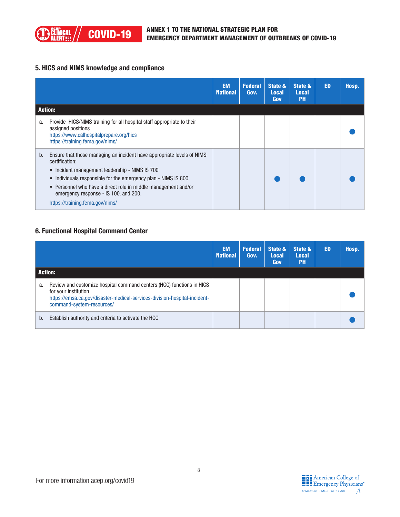

#### 5. HICS and NIMS knowledge and compliance

|                |                                                                                                                                                                                                                                                                                                                                                                       | <b>EM</b><br><b>National</b> | <b>Federal</b><br>Gov. | State &<br><b>Local</b><br>Gov | State &<br><b>Local</b><br><b>PH</b> | <b>ED</b> | Hosp. |
|----------------|-----------------------------------------------------------------------------------------------------------------------------------------------------------------------------------------------------------------------------------------------------------------------------------------------------------------------------------------------------------------------|------------------------------|------------------------|--------------------------------|--------------------------------------|-----------|-------|
| <b>Action:</b> |                                                                                                                                                                                                                                                                                                                                                                       |                              |                        |                                |                                      |           |       |
| a.             | Provide HICS/NIMS training for all hospital staff appropriate to their<br>assigned positions<br>https://www.calhospitalprepare.org/hics<br>https://training.fema.gov/nims/                                                                                                                                                                                            |                              |                        |                                |                                      |           |       |
| b.             | Ensure that those managing an incident have appropriate levels of NIMS<br>certification:<br>• Incident management leadership - NIMS IS 700<br>Individuals responsible for the emergency plan - NIMS IS 800<br>$\bullet$<br>• Personnel who have a direct role in middle management and/or<br>emergency response - IS 100, and 200.<br>https://training.fema.gov/nims/ |                              |                        |                                |                                      |           |       |

#### 6. Functional Hospital Command Center

|    |                                                                                                                                                                                                         | <b>EM</b><br><b>National</b> | <b>Federal</b><br>Gov. | State &<br><b>Local</b><br>Gov | State &<br><b>Local</b><br><b>PH</b> | <b>ED</b> | Hosp. |
|----|---------------------------------------------------------------------------------------------------------------------------------------------------------------------------------------------------------|------------------------------|------------------------|--------------------------------|--------------------------------------|-----------|-------|
|    | <b>Action:</b>                                                                                                                                                                                          |                              |                        |                                |                                      |           |       |
| a. | Review and customize hospital command centers (HCC) functions in HICS<br>for your institution<br>https://emsa.ca.gov/disaster-medical-services-division-hospital-incident-<br>command-system-resources/ |                              |                        |                                |                                      |           |       |
| b. | Establish authority and criteria to activate the HCC                                                                                                                                                    |                              |                        |                                |                                      |           |       |



8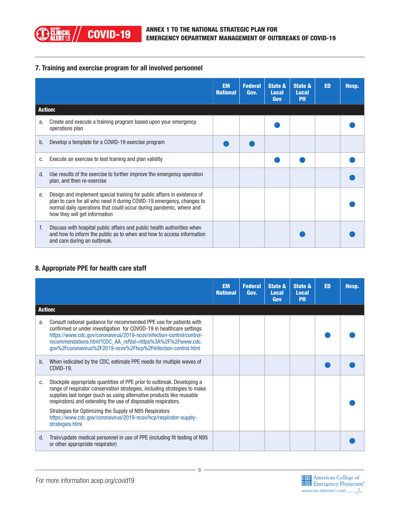#### 7. Training and exercise program for all involved personnel

|    |                                                                                                                                                                                                                                                            | <b>EM</b><br><b>National</b> | <b>Federal</b><br>Gov. | State &<br><b>Local</b><br>Gov | State &<br><b>Local</b><br><b>PH</b> | <b>ED</b> | Hosp. |
|----|------------------------------------------------------------------------------------------------------------------------------------------------------------------------------------------------------------------------------------------------------------|------------------------------|------------------------|--------------------------------|--------------------------------------|-----------|-------|
|    | <b>Action:</b>                                                                                                                                                                                                                                             |                              |                        |                                |                                      |           |       |
| a. | Create and execute a training program based upon your emergency<br>operations plan                                                                                                                                                                         |                              |                        |                                |                                      |           |       |
| b. | Develop a template for a COVID-19 exercise program                                                                                                                                                                                                         |                              |                        |                                |                                      |           |       |
| c. | Execute an exercise to test training and plan validity                                                                                                                                                                                                     |                              |                        |                                |                                      |           |       |
| d. | Use results of the exercise to further improve the emergency operation<br>plan, and then re-exercise                                                                                                                                                       |                              |                        |                                |                                      |           |       |
| е. | Design and implement special training for public affairs in existence of<br>plan to care for all who need it during COVID-19 emergency, changes to<br>normal daily operations that could occur during pandemic, where and<br>how they will get information |                              |                        |                                |                                      |           |       |
| f. | Discuss with hospital public affairs and public health authorities when<br>and how to inform the public as to when and how to access information<br>and care during an outbreak.                                                                           |                              |                        |                                |                                      |           |       |

#### 8. Appropriate PPE for health care staff

|    |                                                                                                                                                                                                                                                                                                                                                                                                                                                   | <b>EM</b><br><b>National</b> | <b>Federal</b><br>Gov. | State &<br><b>Local</b><br>Gov | State &<br><b>Local</b><br><b>PH</b> | <b>ED</b> | Hosp. |
|----|---------------------------------------------------------------------------------------------------------------------------------------------------------------------------------------------------------------------------------------------------------------------------------------------------------------------------------------------------------------------------------------------------------------------------------------------------|------------------------------|------------------------|--------------------------------|--------------------------------------|-----------|-------|
|    | <b>Action:</b>                                                                                                                                                                                                                                                                                                                                                                                                                                    |                              |                        |                                |                                      |           |       |
| a. | Consult national quidance for recommended PPE use for patients with<br>confirmed or under investigation for COVOD-19 in healthcare settings<br>https://www.cdc.gov/coronavirus/2019-ncov/infection-control/control-<br>recommendations.html?CDC AA refVal=https%3A%2F%2Fwww.cdc.<br>gov%2Fcoronavirus%2F2019-ncov%2Fhcp%2Finfection-control.html                                                                                                  |                              |                        |                                |                                      |           |       |
| b. | When indicated by the CDC, estimate PPE needs for multiple waves of<br>COVID-19.                                                                                                                                                                                                                                                                                                                                                                  |                              |                        |                                |                                      |           |       |
| C. | Stockpile appropriate quantities of PPE prior to outbreak. Developing a<br>range of respirator conservation strategies, including strategies to make<br>supplies last longer (such as using alternative products like reusable<br>respirators) and extending the use of disposable respirators.<br>Strategies for Optimizing the Supply of N95 Respirators<br>https://www.cdc.gov/coronavirus/2019-ncov/hcp/respirator-supply-<br>strategies.html |                              |                        |                                |                                      |           |       |
| d. | Train/update medical personnel in use of PPE (including fit testing of N95<br>or other appropriate respirator)                                                                                                                                                                                                                                                                                                                                    |                              |                        |                                |                                      |           |       |

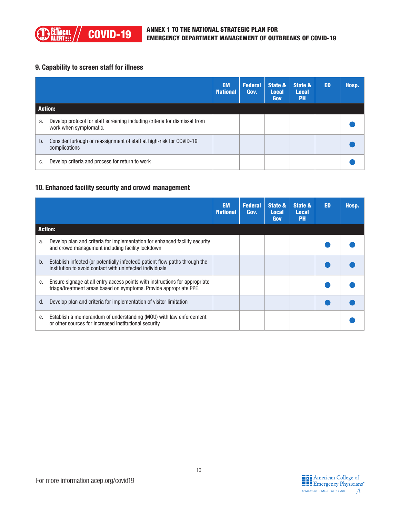#### 9. Capability to screen staff for illness

|         |                                                                                                      | <b>EM</b><br><b>National</b> | <b>Federal</b><br>Gov. | State &<br><b>Local</b><br><b>Gov</b> | State &<br><b>Local</b><br><b>PH</b> | ED | Hosp. |
|---------|------------------------------------------------------------------------------------------------------|------------------------------|------------------------|---------------------------------------|--------------------------------------|----|-------|
| Action: |                                                                                                      |                              |                        |                                       |                                      |    |       |
| a.      | Develop protocol for staff screening including criteria for dismissal from<br>work when symptomatic. |                              |                        |                                       |                                      |    |       |
| b.      | Consider furlough or reassignment of staff at high-risk for COVID-19<br>complications                |                              |                        |                                       |                                      |    |       |
| C.      | Develop criteria and process for return to work                                                      |                              |                        |                                       |                                      |    |       |

#### 10. Enhanced facility security and crowd management

|    |                                                                                                                                                   | <b>EM</b><br><b>National</b> | <b>Federal</b><br>Gov. | State &<br><b>Local</b><br>Gov | State &<br><b>Local</b><br><b>PH</b> | <b>ED</b> | Hosp. |
|----|---------------------------------------------------------------------------------------------------------------------------------------------------|------------------------------|------------------------|--------------------------------|--------------------------------------|-----------|-------|
|    | <b>Action:</b>                                                                                                                                    |                              |                        |                                |                                      |           |       |
| a. | Develop plan and criteria for implementation for enhanced facility security<br>and crowd management including facility lockdown                   |                              |                        |                                |                                      |           |       |
| b. | Establish infected (or potentially infected 0patient flow paths through the<br>institution to avoid contact with uninfected individuals.          |                              |                        |                                |                                      |           |       |
| C. | Ensure signage at all entry access points with instructions for appropriate<br>triage/treatment areas based on symptoms. Provide appropriate PPE. |                              |                        |                                |                                      |           |       |
| d. | Develop plan and criteria for implementation of visitor limitation                                                                                |                              |                        |                                |                                      |           |       |
| е. | Establish a memorandum of understanding (MOU) with law enforcement<br>or other sources for increased institutional security                       |                              |                        |                                |                                      |           |       |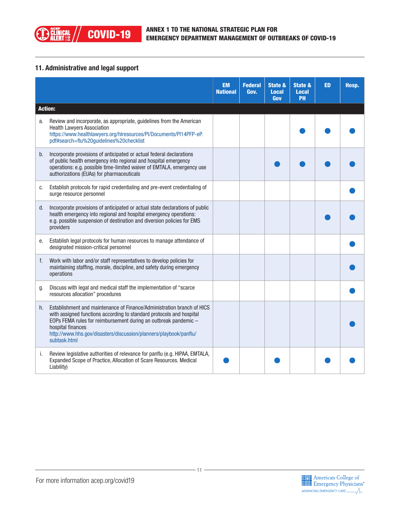#### 11. Administrative and legal support

|    |                                                                                                                                                                                                                                                                                                                             | <b>EM</b><br><b>National</b> | <b>Federal</b><br>Gov. | <b>State &amp;</b><br><b>Local</b><br>Gov | State &<br><b>Local</b><br>PH | ED | Hosp. |
|----|-----------------------------------------------------------------------------------------------------------------------------------------------------------------------------------------------------------------------------------------------------------------------------------------------------------------------------|------------------------------|------------------------|-------------------------------------------|-------------------------------|----|-------|
|    | <b>Action:</b>                                                                                                                                                                                                                                                                                                              |                              |                        |                                           |                               |    |       |
| a. | Review and incorporate, as appropriate, guidelines from the American<br><b>Health Lawyers Association</b><br>https://www.healthlawyers.org/hlresources/PI/Documents/PI14PFP-eP.<br>pdf#search=flu%20guidelines%20checklist                                                                                                  |                              |                        |                                           |                               |    |       |
| b. | Incorporate provisions of anticipated or actual federal declarations<br>of public health emergency into regional and hospital emergency<br>operations: e.g. possible time-limited waiver of EMTALA, emergency use<br>authorizations (EUAs) for pharmaceuticals                                                              |                              |                        |                                           |                               |    |       |
| C. | Establish protocols for rapid credentialing and pre-event credentialing of<br>surge resource personnel                                                                                                                                                                                                                      |                              |                        |                                           |                               |    |       |
| d. | Incorporate provisions of anticipated or actual state declarations of public<br>health emergency into regional and hospital emergency operations:<br>e.g. possible suspension of destination and diversion policies for EMS<br>providers                                                                                    |                              |                        |                                           |                               |    |       |
| e. | Establish legal protocols for human resources to manage attendance of<br>designated mission-critical personnel                                                                                                                                                                                                              |                              |                        |                                           |                               |    |       |
| f. | Work with labor and/or staff representatives to develop policies for<br>maintaining staffing, morale, discipline, and safety during emergency<br>operations                                                                                                                                                                 |                              |                        |                                           |                               |    |       |
| g. | Discuss with legal and medical staff the implementation of "scarce<br>resources allocation" procedures                                                                                                                                                                                                                      |                              |                        |                                           |                               |    |       |
| h. | Establishment and maintenance of Finance/Administration branch of HICS<br>with assigned functions according to standard protocols and hospital<br>EOPs FEMA rules for reimbursement during an outbreak pandemic -<br>hospital finances<br>http://www.hhs.gov/disasters/discussion/planners/playbook/panflu/<br>subtask.html |                              |                        |                                           |                               |    |       |
| i. | Review legislative authorities of relevance for panflu (e.g. HIPAA, EMTALA,<br>Expanded Scope of Practice, Allocation of Scare Resources. Medical<br>Liability)                                                                                                                                                             |                              |                        |                                           |                               |    |       |

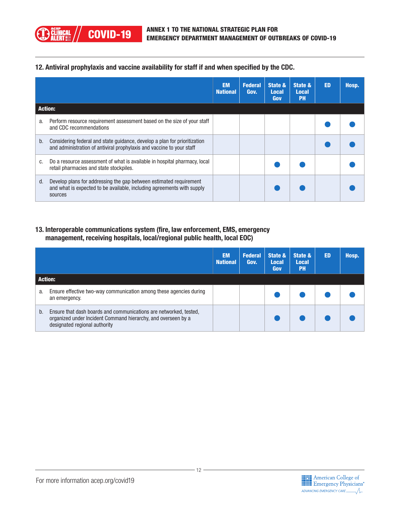#### 12. Antiviral prophylaxis and vaccine availability for staff if and when specified by the CDC.

**) ĈĹĨÑICAL<br>J ALERT** 

|    |                                                                                                                                                         | <b>EM</b><br><b>National</b> | <b>Federal</b><br>Gov. | State &<br><b>Local</b><br>Gov | State &<br><b>Local</b><br><b>PH</b> | <b>ED</b> | Hosp. |
|----|---------------------------------------------------------------------------------------------------------------------------------------------------------|------------------------------|------------------------|--------------------------------|--------------------------------------|-----------|-------|
|    | <b>Action:</b>                                                                                                                                          |                              |                        |                                |                                      |           |       |
| a. | Perform resource requirement assessment based on the size of your staff<br>and CDC recommendations                                                      |                              |                        |                                |                                      |           |       |
| b. | Considering federal and state guidance, develop a plan for prioritization<br>and administration of antiviral prophylaxis and vaccine to your staff      |                              |                        |                                |                                      |           |       |
| C. | Do a resource assessment of what is available in hospital pharmacy, local<br>retail pharmacies and state stockpiles.                                    |                              |                        |                                |                                      |           |       |
| d. | Develop plans for addressing the gap between estimated requirement<br>and what is expected to be available, including agreements with supply<br>sources |                              |                        |                                |                                      |           |       |

#### 13. Interoperable communications system (fire, law enforcement, EMS, emergency management, receiving hospitals, local/regional public health, local EOC)

|    |                                                                                                                                                                     | <b>EM</b><br><b>National</b> | <b>Federal</b><br>Gov. | State &<br><b>Local</b><br>Gov | State &<br><b>Local</b><br><b>PH</b> | <b>ED</b> | Hosp. |
|----|---------------------------------------------------------------------------------------------------------------------------------------------------------------------|------------------------------|------------------------|--------------------------------|--------------------------------------|-----------|-------|
|    | <b>Action:</b>                                                                                                                                                      |                              |                        |                                |                                      |           |       |
| a. | Ensure effective two-way communication among these agencies during<br>an emergency.                                                                                 |                              |                        |                                |                                      |           |       |
| b. | Ensure that dash boards and communications are networked, tested,<br>organized under Incident Command hierarchy, and overseen by a<br>designated regional authority |                              |                        |                                |                                      |           |       |

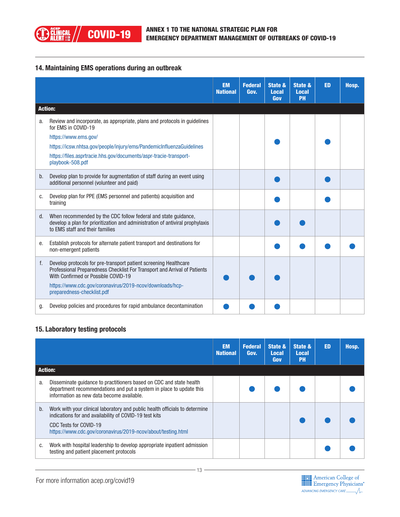#### 14. Maintaining EMS operations during an outbreak

|       |                                                                                                                                                                                                                                                                                | <b>EM</b><br><b>National</b> | <b>Federal</b><br>Gov. | State &<br><b>Local</b><br>Gov | State &<br><b>Local</b><br>PH | <b>ED</b> | Hosp. |
|-------|--------------------------------------------------------------------------------------------------------------------------------------------------------------------------------------------------------------------------------------------------------------------------------|------------------------------|------------------------|--------------------------------|-------------------------------|-----------|-------|
|       | <b>Action:</b>                                                                                                                                                                                                                                                                 |                              |                        |                                |                               |           |       |
| a.    | Review and incorporate, as appropriate, plans and protocols in guidelines<br>for EMS in COVID-19                                                                                                                                                                               |                              |                        |                                |                               |           |       |
|       | https://www.ems.gov/                                                                                                                                                                                                                                                           |                              |                        |                                |                               |           |       |
|       | https://icsw.nhtsa.gov/people/injury/ems/PandemicInfluenzaGuidelines                                                                                                                                                                                                           |                              |                        |                                |                               |           |       |
|       | https://files.asprtracie.hhs.gov/documents/aspr-tracie-transport-<br>playbook-508.pdf                                                                                                                                                                                          |                              |                        |                                |                               |           |       |
| b.    | Develop plan to provide for augmentation of staff during an event using<br>additional personnel (volunteer and paid)                                                                                                                                                           |                              |                        |                                |                               |           |       |
| c.    | Develop plan for PPE (EMS personnel and patients) acquisition and<br>training                                                                                                                                                                                                  |                              |                        |                                |                               |           |       |
| $d$ . | When recommended by the CDC follow federal and state guidance,<br>develop a plan for prioritization and administration of antiviral prophylaxis<br>to EMS staff and their families                                                                                             |                              |                        |                                |                               |           |       |
| е.    | Establish protocols for alternate patient transport and destinations for<br>non-emergent patients                                                                                                                                                                              |                              |                        |                                |                               |           |       |
| f.    | Develop protocols for pre-transport patient screening Healthcare<br>Professional Preparedness Checklist For Transport and Arrival of Patients<br>With Confirmed or Possible COVID-19<br>https://www.cdc.gov/coronavirus/2019-ncov/downloads/hcp-<br>preparedness-checklist.pdf |                              |                        |                                |                               |           |       |
| g.    | Develop policies and procedures for rapid ambulance decontamination                                                                                                                                                                                                            |                              |                        |                                |                               |           |       |

#### 15. Laboratory testing protocols

|                |                                                                                                                                                                                                                                 | <b>EM</b><br><b>National</b> | <b>Federal</b><br>Gov. | State &<br><b>Local</b><br>Gov | State &<br><b>Local</b><br><b>PH</b> | <b>ED</b> | Hosp. |
|----------------|---------------------------------------------------------------------------------------------------------------------------------------------------------------------------------------------------------------------------------|------------------------------|------------------------|--------------------------------|--------------------------------------|-----------|-------|
| <b>Action:</b> |                                                                                                                                                                                                                                 |                              |                        |                                |                                      |           |       |
| a.             | Disseminate guidance to practitioners based on CDC and state health<br>department recommendations and put a system in place to update this<br>information as new data become available.                                         |                              |                        |                                |                                      |           |       |
| b.             | Work with your clinical laboratory and public health officials to determine<br>indications for and availability of COVID-19 test kits<br>CDC Tests for COVID-19<br>https://www.cdc.gov/coronavirus/2019-ncov/about/testing.html |                              |                        |                                |                                      |           |       |
| c.             | Work with hospital leadership to develop appropriate inpatient admission<br>testing and patient placement protocols                                                                                                             |                              |                        |                                |                                      |           |       |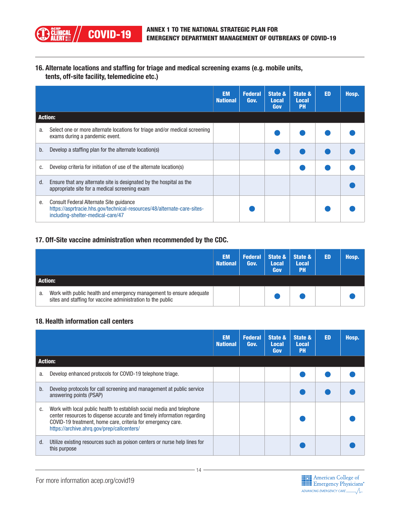

16. Alternate locations and staffing for triage and medical screening exams (e.g. mobile units, tents, off-site facility, telemedicine etc.)

|    |                                                                                                                                                         | <b>EM</b><br><b>National</b> | <b>Federal</b><br>Gov. | State &<br><b>Local</b><br>Gov | State &<br><b>Local</b><br><b>PH</b> | <b>ED</b> | Hosp. |
|----|---------------------------------------------------------------------------------------------------------------------------------------------------------|------------------------------|------------------------|--------------------------------|--------------------------------------|-----------|-------|
|    | <b>Action:</b>                                                                                                                                          |                              |                        |                                |                                      |           |       |
| a. | Select one or more alternate locations for triage and/or medical screening<br>exams during a pandemic event.                                            |                              |                        |                                |                                      |           |       |
| b. | Develop a staffing plan for the alternate location(s)                                                                                                   |                              |                        |                                |                                      |           |       |
| C. | Develop criteria for initiation of use of the alternate location(s)                                                                                     |                              |                        |                                |                                      |           |       |
| d. | Ensure that any alternate site is designated by the hospital as the<br>appropriate site for a medical screening exam                                    |                              |                        |                                |                                      |           |       |
| е. | Consult Federal Alternate Site quidance<br>https://asprtracie.hhs.gov/technical-resources/48/alternate-care-sites-<br>including-shelter-medical-care/47 |                              |                        |                                |                                      |           |       |

#### 17. Off-Site vaccine administration when recommended by the CDC.

|         |                                                                                                                                    | <b>EM</b><br><b>National</b> | Gov. | <b>Local</b><br>Gov | Federal State & State &<br><b>Local</b><br><b>PH</b> | <b>ED</b> | Hosp. |
|---------|------------------------------------------------------------------------------------------------------------------------------------|------------------------------|------|---------------------|------------------------------------------------------|-----------|-------|
| Action: |                                                                                                                                    |                              |      |                     |                                                      |           |       |
| a.      | Work with public health and emergency management to ensure adequate<br>sites and staffing for vaccine administration to the public |                              |      |                     |                                                      |           |       |

#### 18. Health information call centers

|    |                                                                                                                                                                                                                                                              | <b>EM</b><br><b>National</b> | <b>Federal</b><br>Gov. | State &<br><b>Local</b><br>Gov | State &<br><b>Local</b><br><b>PH</b> | <b>ED</b> | Hosp. |
|----|--------------------------------------------------------------------------------------------------------------------------------------------------------------------------------------------------------------------------------------------------------------|------------------------------|------------------------|--------------------------------|--------------------------------------|-----------|-------|
|    | <b>Action:</b>                                                                                                                                                                                                                                               |                              |                        |                                |                                      |           |       |
| a. | Develop enhanced protocols for COVID-19 telephone triage.                                                                                                                                                                                                    |                              |                        |                                |                                      |           |       |
| b. | Develop protocols for call screening and management at public service<br>answering points (PSAP)                                                                                                                                                             |                              |                        |                                |                                      |           |       |
| C. | Work with local public health to establish social media and telephone<br>center resources to dispense accurate and timely information regarding<br>COVID-19 treatment, home care, criteria for emergency care.<br>https://archive.ahrq.gov/prep/callcenters/ |                              |                        |                                |                                      |           |       |
| d. | Utilize existing resources such as poison centers or nurse help lines for<br>this purpose                                                                                                                                                                    |                              |                        |                                |                                      |           |       |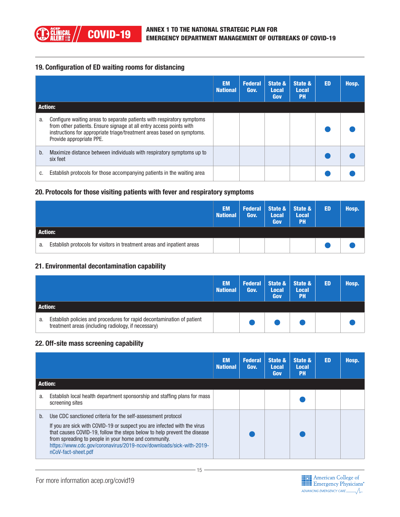#### 19. Configuration of ED waiting rooms for distancing

|                |                                                                                                                                                                                                                                                     | <b>EM</b><br><b>National</b> | <b>Federal</b><br>Gov. | State &<br><b>Local</b><br>Gov | State &<br><b>Local</b><br><b>PH</b> | <b>ED</b> | Hosp. |
|----------------|-----------------------------------------------------------------------------------------------------------------------------------------------------------------------------------------------------------------------------------------------------|------------------------------|------------------------|--------------------------------|--------------------------------------|-----------|-------|
| <b>Action:</b> |                                                                                                                                                                                                                                                     |                              |                        |                                |                                      |           |       |
| a.             | Configure waiting areas to separate patients with respiratory symptoms<br>from other patients. Ensure signage at all entry access points with<br>instructions for appropriate triage/treatment areas based on symptoms.<br>Provide appropriate PPE. |                              |                        |                                |                                      |           |       |
| b.             | Maximize distance between individuals with respiratory symptoms up to<br>six feet                                                                                                                                                                   |                              |                        |                                |                                      |           |       |
| c.             | Establish protocols for those accompanying patients in the waiting area                                                                                                                                                                             |                              |                        |                                |                                      |           |       |

#### 20. Protocols for those visiting patients with fever and respiratory symptoms

|                                                                               | <b>EM</b><br><b>National</b> | Gov. | <b>Federal State &amp; State &amp;</b><br><b>Local</b><br>Gov | <b>Local</b><br><b>PH</b> | ED | Hosp. |
|-------------------------------------------------------------------------------|------------------------------|------|---------------------------------------------------------------|---------------------------|----|-------|
| <b>Action:</b>                                                                |                              |      |                                                               |                           |    |       |
| Establish protocols for visitors in treatment areas and inpatient areas<br>a. |                              |      |                                                               |                           |    |       |

#### 21. Environmental decontamination capability

|         |                                                                                                                               | EM.<br><b>National</b> | <b>Federal</b><br>Gov. | <b>Local</b><br>Gov | State $\&$ State $\&$<br><b>Local</b><br><b>PH</b> | ED | Hosp. |
|---------|-------------------------------------------------------------------------------------------------------------------------------|------------------------|------------------------|---------------------|----------------------------------------------------|----|-------|
| Action: |                                                                                                                               |                        |                        |                     |                                                    |    |       |
| a.      | Establish policies and procedures for rapid decontamination of patient<br>treatment areas (including radiology, if necessary) |                        |                        |                     |                                                    |    |       |

#### 22. Off-site mass screening capability

|    |                                                                                                                                                                                                                                                                                                                                                                            | <b>EM</b><br><b>National</b> | <b>Federal</b><br>Gov. | State &<br><b>Local</b><br>Gov | State &<br><b>Local</b><br><b>PH</b> | <b>ED</b> | Hosp. |
|----|----------------------------------------------------------------------------------------------------------------------------------------------------------------------------------------------------------------------------------------------------------------------------------------------------------------------------------------------------------------------------|------------------------------|------------------------|--------------------------------|--------------------------------------|-----------|-------|
|    | <b>Action:</b>                                                                                                                                                                                                                                                                                                                                                             |                              |                        |                                |                                      |           |       |
| a. | Establish local health department sponsorship and staffing plans for mass<br>screening sites                                                                                                                                                                                                                                                                               |                              |                        |                                |                                      |           |       |
| b. | Use CDC sanctioned criteria for the self-assessment protocol<br>If you are sick with COVID-19 or suspect you are infected with the virus<br>that causes COVID-19, follow the steps below to help prevent the disease<br>from spreading to people in your home and community.<br>https://www.cdc.gov/coronavirus/2019-ncov/downloads/sick-with-2019-<br>nCoV-fact-sheet.pdf |                              |                        |                                |                                      |           |       |

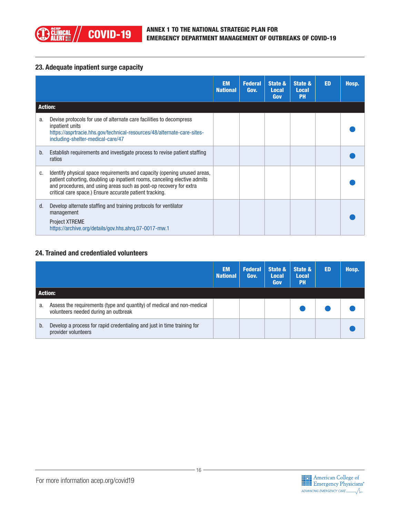

#### 23. Adequate inpatient surge capacity

|    |                                                                                                                                                                                                                                                                                        | <b>EM</b><br><b>National</b> | <b>Federal</b><br>Gov. | State &<br><b>Local</b><br>Gov | State &<br><b>Local</b><br><b>PH</b> | <b>ED</b> | Hosp. |
|----|----------------------------------------------------------------------------------------------------------------------------------------------------------------------------------------------------------------------------------------------------------------------------------------|------------------------------|------------------------|--------------------------------|--------------------------------------|-----------|-------|
|    | <b>Action:</b>                                                                                                                                                                                                                                                                         |                              |                        |                                |                                      |           |       |
| a. | Devise protocols for use of alternate care facilities to decompress<br>inpatient units<br>https://asprtracie.hhs.gov/technical-resources/48/alternate-care-sites-<br>including-shelter-medical-care/47                                                                                 |                              |                        |                                |                                      |           |       |
| b. | Establish requirements and investigate process to revise patient staffing<br>ratios                                                                                                                                                                                                    |                              |                        |                                |                                      |           |       |
| C. | Identify physical space requirements and capacity (opening unused areas,<br>patient cohorting, doubling up inpatient rooms, canceling elective admits<br>and procedures, and using areas such as post-op recovery for extra<br>critical care space.) Ensure accurate patient tracking. |                              |                        |                                |                                      |           |       |
| d. | Develop alternate staffing and training protocols for ventilator<br>management<br><b>Project XTREME</b><br>https://archive.org/details/gov.hhs.ahrq.07-0017-mw.1                                                                                                                       |                              |                        |                                |                                      |           |       |

#### 24. Trained and credentialed volunteers

|                |                                                                                                                | <b>EM</b><br><b>National</b> | <b>Federal</b><br>Gov. | State &<br><b>Local</b><br>Gov | State &<br><b>Local</b><br><b>PH</b> | <b>ED</b> | Hosp. |
|----------------|----------------------------------------------------------------------------------------------------------------|------------------------------|------------------------|--------------------------------|--------------------------------------|-----------|-------|
| <b>Action:</b> |                                                                                                                |                              |                        |                                |                                      |           |       |
| a.             | Assess the requirements (type and quantity) of medical and non-medical<br>volunteers needed during an outbreak |                              |                        |                                |                                      |           |       |
| b.             | Develop a process for rapid credentialing and just in time training for<br>provider volunteers                 |                              |                        |                                |                                      |           |       |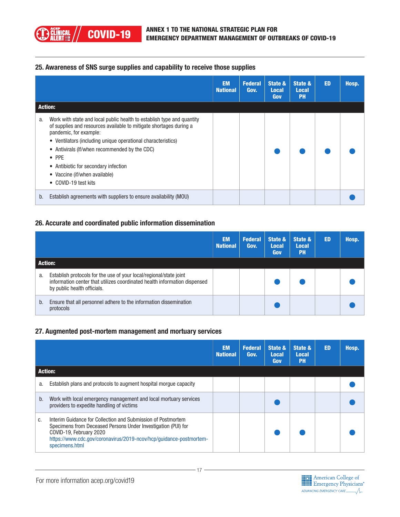#### 25. Awareness of SNS surge supplies and capability to receive those supplies

|    |                                                                                                                                                                                                                                                                                                                                                                                                                      | <b>EM</b><br><b>National</b> | <b>Federal</b><br>Gov. | State &<br><b>Local</b><br>Gov | State &<br><b>Local</b><br><b>PH</b> | <b>ED</b> | Hosp. |
|----|----------------------------------------------------------------------------------------------------------------------------------------------------------------------------------------------------------------------------------------------------------------------------------------------------------------------------------------------------------------------------------------------------------------------|------------------------------|------------------------|--------------------------------|--------------------------------------|-----------|-------|
|    | <b>Action:</b>                                                                                                                                                                                                                                                                                                                                                                                                       |                              |                        |                                |                                      |           |       |
| a. | Work with state and local public health to establish type and quantity<br>of supplies and resources available to mitigate shortages during a<br>pandemic, for example:<br>• Ventilators (including unique operational characteristics)<br>• Antivirals (If/when recommended by the CDC)<br>$\bullet$ PPE<br>• Antibiotic for secondary infection<br>Vaccine (if/when available)<br>$\bullet$<br>• COVID-19 test kits |                              |                        |                                |                                      |           |       |
| b. | Establish agreements with suppliers to ensure availability (MOU)                                                                                                                                                                                                                                                                                                                                                     |                              |                        |                                |                                      |           |       |

#### 26. Accurate and coordinated public information dissemination

|                |                                                                                                                                                                                | <b>EM</b><br><b>National</b> | <b>Federal</b><br>Gov. | State &<br><b>Local</b><br>Gov | State &<br><b>Local</b><br>PH | <b>ED</b> | Hosp. |
|----------------|--------------------------------------------------------------------------------------------------------------------------------------------------------------------------------|------------------------------|------------------------|--------------------------------|-------------------------------|-----------|-------|
| <b>Action:</b> |                                                                                                                                                                                |                              |                        |                                |                               |           |       |
| a.             | Establish protocols for the use of your local/regional/state joint<br>information center that utilizes coordinated health information dispensed<br>by public health officials. |                              |                        |                                |                               |           |       |
| b.             | Ensure that all personnel adhere to the information dissemination<br>protocols                                                                                                 |                              |                        |                                |                               |           |       |

#### 27. Augmented post-mortem management and mortuary services

|                |                                                                                                                                                                                                                                                  | <b>EM</b><br><b>National</b> | <b>Federal</b><br>Gov. | State &<br><b>Local</b><br>Gov | State &<br><b>Local</b><br><b>PH</b> | <b>ED</b> | Hosp. |
|----------------|--------------------------------------------------------------------------------------------------------------------------------------------------------------------------------------------------------------------------------------------------|------------------------------|------------------------|--------------------------------|--------------------------------------|-----------|-------|
| <b>Action:</b> |                                                                                                                                                                                                                                                  |                              |                        |                                |                                      |           |       |
| a.             | Establish plans and protocols to augment hospital morque capacity                                                                                                                                                                                |                              |                        |                                |                                      |           |       |
| b.             | Work with local emergency management and local mortuary services<br>providers to expedite handling of victims                                                                                                                                    |                              |                        |                                |                                      |           |       |
| C.             | Interim Guidance for Collection and Submission of Postmortem<br>Specimens from Deceased Persons Under Investigation (PUI) for<br>COVID-19, February 2020<br>https://www.cdc.gov/coronavirus/2019-ncov/hcp/guidance-postmortem-<br>specimens.html |                              |                        |                                |                                      |           |       |

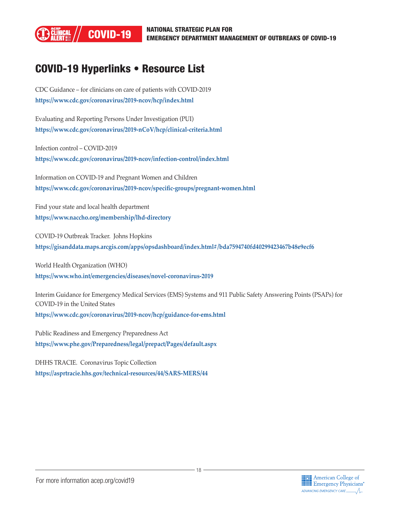

### COVID-19 Hyperlinks • Resource List

CDC Guidance – for clinicians on care of patients with COVID-2019 **[https://www.cdc.gov/coronavirus/2019-ncov/hcp/index.html](https://www.cdc.gov/coronavirus/2019-ncov/hcp/index.html )**

Evaluating and Reporting Persons Under Investigation (PUI) **[https://www.cdc.gov/coronavirus/2019-nCoV/hcp/clinical-criteria.html](https://www.cdc.gov/coronavirus/2019-nCoV/hcp/clinical-criteria.html )**

Infection control – COVID-2019 **[https://www.cdc.gov/coronavirus/2019-ncov/infection-control/index.html](https://www.cdc.gov/coronavirus/2019-ncov/infection-control/index.html )**

Information on COVID-19 and Pregnant Women and Children **[https://www.cdc.gov/coronavirus/2019-ncov/specific-groups/pregnant-women.html](https://www.cdc.gov/coronavirus/2019-ncov/specific-groups/pregnant-women.html )**

Find your state and local health department **<https://www.naccho.org/membership/lhd-directory>**

COVID-19 Outbreak Tracker. Johns Hopkins **[https://gisanddata.maps.arcgis.com/apps/opsdashboard/index.html#/bda7594740fd40299423467b48e9ecf6](https://gisanddata.maps.arcgis.com/apps/opsdashboard/index.html#/bda7594740fd40299423467b48e9ecf6 )**

World Health Organization (WHO) **[https://www.who.int/emergencies/diseases/novel-coronavirus-2019](https://www.who.int/emergencies/diseases/novel-coronavirus-2019 )**

Interim Guidance for Emergency Medical Services (EMS) Systems and 911 Public Safety Answering Points (PSAPs) for COVID-19 in the United States **[https://www.cdc.gov/coronavirus/2019-ncov/hcp/guidance-for-ems.html](https://www.cdc.gov/coronavirus/2019-ncov/hcp/guidance-for-ems.html )**

Public Readiness and Emergency Preparedness Act **[https://www.phe.gov/Preparedness/legal/prepact/Pages/default.aspx](https://www.phe.gov/Preparedness/legal/prepact/Pages/default.aspx )**

DHHS TRACIE. Coronavirus Topic Collection **[https://asprtracie.hhs.gov/technical-resources/44/SARS-MERS/44](https://asprtracie.hhs.gov/technical-resources/44/SARS-MERS/44 )**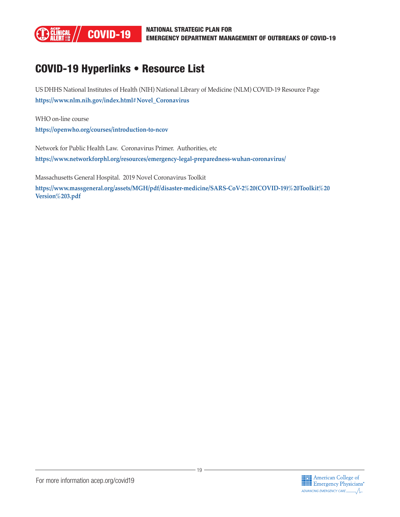

### COVID-19 Hyperlinks • Resource List

US DHHS National Institutes of Health (NIH) National Library of Medicine (NLM) COVID-19 Resource Page **[https://www.nlm.nih.gov/index.html#Novel\\_Coronavirus](https://www.nlm.nih.gov/index.html#Novel_Coronavirus )**

WHO on-line course **[https://openwho.org/courses/introduction-to-ncov](https://openwho.org/courses/introduction-to-ncov )**

Network for Public Health Law. Coronavirus Primer. Authorities, etc **[https://www.networkforphl.org/resources/emergency-legal-preparedness-wuhan-coronavirus/](https://www.networkforphl.org/resources/emergency-legal-preparedness-wuhan-coronavirus/ )**

Massachusetts General Hospital. 2019 Novel Coronavirus Toolkit

**[https://www.massgeneral.org/assets/MGH/pdf/disaster-medicine/SARS-CoV-2%20\(COVID-19\)%20Toolkit%20](https://www.massgeneral.org/assets/MGH/pdf/disaster-medicine/SARS-CoV-2%20(COVID-19)%20Toolkit%20Version%203.pdf) [Version%203.pdf](https://www.massgeneral.org/assets/MGH/pdf/disaster-medicine/SARS-CoV-2%20(COVID-19)%20Toolkit%20Version%203.pdf)**